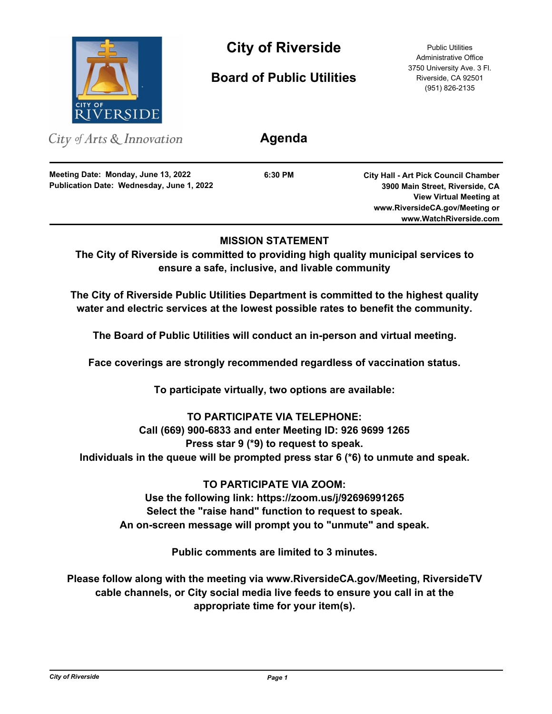

# **City of Riverside** Public Utilities

**Board of Public Utilities**

Administrative Office 3750 University Ave. 3 Fl. Riverside, CA 92501 (951) 826-2135

| City of Arts $\&$ Innovation                                                     | Agenda  |                                                                                |
|----------------------------------------------------------------------------------|---------|--------------------------------------------------------------------------------|
| Meeting Date: Monday, June 13, 2022<br>Publication Date: Wednesday, June 1, 2022 | 6:30 PM | <b>City Hall - Art Pick Council Chamber</b><br>3900 Main Street, Riverside, CA |
|                                                                                  |         | <b>View Virtual Meeting at</b><br>www.RiversideCA.gov/Meeting or               |
|                                                                                  |         | www.WatchRiverside.com                                                         |

# **MISSION STATEMENT**

**The City of Riverside is committed to providing high quality municipal services to ensure a safe, inclusive, and livable community**

**The City of Riverside Public Utilities Department is committed to the highest quality water and electric services at the lowest possible rates to benefit the community.**

**The Board of Public Utilities will conduct an in-person and virtual meeting.**

**Face coverings are strongly recommended regardless of vaccination status.**

**To participate virtually, two options are available:** 

# **TO PARTICIPATE VIA TELEPHONE:**

# **Call (669) 900-6833 and enter Meeting ID: 926 9699 1265**

**Press star 9 (\*9) to request to speak.** 

**Individuals in the queue will be prompted press star 6 (\*6) to unmute and speak.**

**TO PARTICIPATE VIA ZOOM:**

**Use the following link: https://zoom.us/j/92696991265 Select the "raise hand" function to request to speak. An on-screen message will prompt you to "unmute" and speak.**

**Public comments are limited to 3 minutes.**

**Please follow along with the meeting via www.RiversideCA.gov/Meeting, RiversideTV cable channels, or City social media live feeds to ensure you call in at the appropriate time for your item(s).**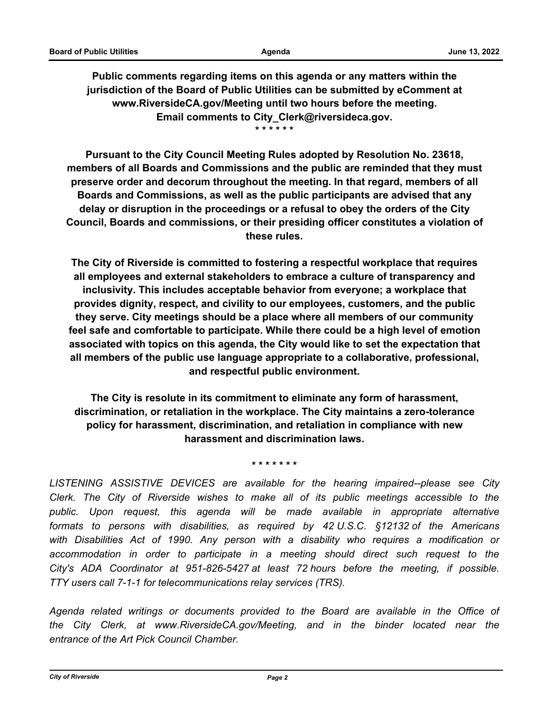**Public comments regarding items on this agenda or any matters within the jurisdiction of the Board of Public Utilities can be submitted by eComment at www.RiversideCA.gov/Meeting until two hours before the meeting. Email comments to City\_Clerk@riversideca.gov. \* \* \* \* \* \***

**Pursuant to the City Council Meeting Rules adopted by Resolution No. 23618, members of all Boards and Commissions and the public are reminded that they must preserve order and decorum throughout the meeting. In that regard, members of all Boards and Commissions, as well as the public participants are advised that any delay or disruption in the proceedings or a refusal to obey the orders of the City Council, Boards and commissions, or their presiding officer constitutes a violation of these rules.**

**The City of Riverside is committed to fostering a respectful workplace that requires all employees and external stakeholders to embrace a culture of transparency and inclusivity. This includes acceptable behavior from everyone; a workplace that provides dignity, respect, and civility to our employees, customers, and the public they serve. City meetings should be a place where all members of our community feel safe and comfortable to participate. While there could be a high level of emotion associated with topics on this agenda, the City would like to set the expectation that all members of the public use language appropriate to a collaborative, professional, and respectful public environment.**

**The City is resolute in its commitment to eliminate any form of harassment, discrimination, or retaliation in the workplace. The City maintains a zero-tolerance policy for harassment, discrimination, and retaliation in compliance with new harassment and discrimination laws.**

**\* \* \* \* \* \* \***

*LISTENING ASSISTIVE DEVICES are available for the hearing impaired--please see City Clerk. The City of Riverside wishes to make all of its public meetings accessible to the public. Upon request, this agenda will be made available in appropriate alternative formats to persons with disabilities, as required by 42 U.S.C. §12132 of the Americans with Disabilities Act of 1990. Any person with a disability who requires a modification or*  accommodation in order to participate in a meeting should direct such request to the *City's ADA Coordinator at 951-826-5427 at least 72 hours before the meeting, if possible. TTY users call 7-1-1 for telecommunications relay services (TRS).*

*Agenda related writings or documents provided to the Board are available in the Office of the City Clerk, at www.RiversideCA.gov/Meeting, and in the binder located near the entrance of the Art Pick Council Chamber.*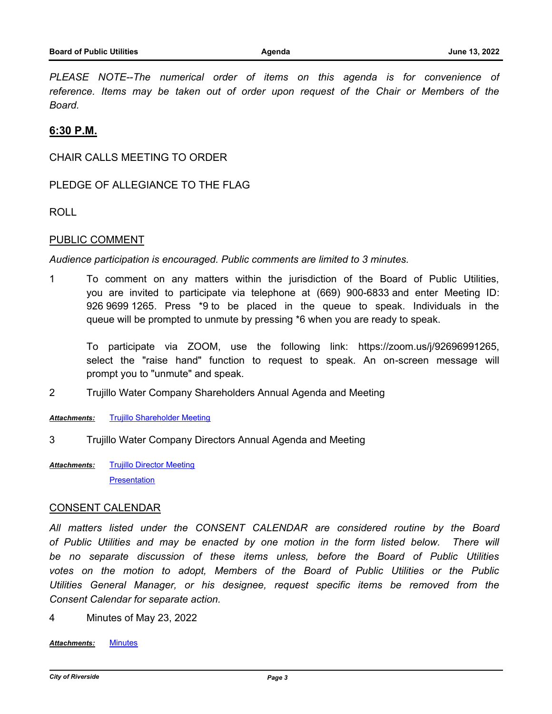PLEASE NOTE--The numerical order of items on this agenda is for convenience of *reference. Items may be taken out of order upon request of the Chair or Members of the Board.*

## **6:30 P.M.**

CHAIR CALLS MEETING TO ORDER

PLEDGE OF ALLEGIANCE TO THE FLAG

ROLL

#### PUBLIC COMMENT

*Audience participation is encouraged. Public comments are limited to 3 minutes.*

1 To comment on any matters within the jurisdiction of the Board of Public Utilities, you are invited to participate via telephone at (669) 900-6833 and enter Meeting ID: 926 9699 1265. Press \*9 to be placed in the queue to speak. Individuals in the queue will be prompted to unmute by pressing \*6 when you are ready to speak.

To participate via ZOOM, use the following link: https://zoom.us/j/92696991265, select the "raise hand" function to request to speak. An on-screen message will prompt you to "unmute" and speak.

2 Trujillo Water Company Shareholders Annual Agenda and Meeting

*Attachments:* [Trujillo Shareholder Meeting](http://riversideca.legistar.com/gateway.aspx?M=F&ID=1272b830-55fe-4f8d-9ba5-28bbf18bc7a3.pdf)

- 3 Trujillo Water Company Directors Annual Agenda and Meeting
- [Trujillo Director Meeting](http://riversideca.legistar.com/gateway.aspx?M=F&ID=cadb781b-ac7c-4c62-a990-04a0bce83ab3.pdf) **[Presentation](http://riversideca.legistar.com/gateway.aspx?M=F&ID=625e7023-52d5-4393-8c8e-b2a64aaa7848.pptx)** *Attachments:*

#### CONSENT CALENDAR

*All matters listed under the CONSENT CALENDAR are considered routine by the Board of Public Utilities and may be enacted by one motion in the form listed below. There will be no separate discussion of these items unless, before the Board of Public Utilities votes on the motion to adopt, Members of the Board of Public Utilities or the Public Utilities General Manager, or his designee, request specific items be removed from the Consent Calendar for separate action.*

4 Minutes of May 23, 2022

*Attachments:* [Minutes](http://riversideca.legistar.com/gateway.aspx?M=F&ID=397309a0-95a4-4f5f-8b93-b4f1f0043dcc.pdf)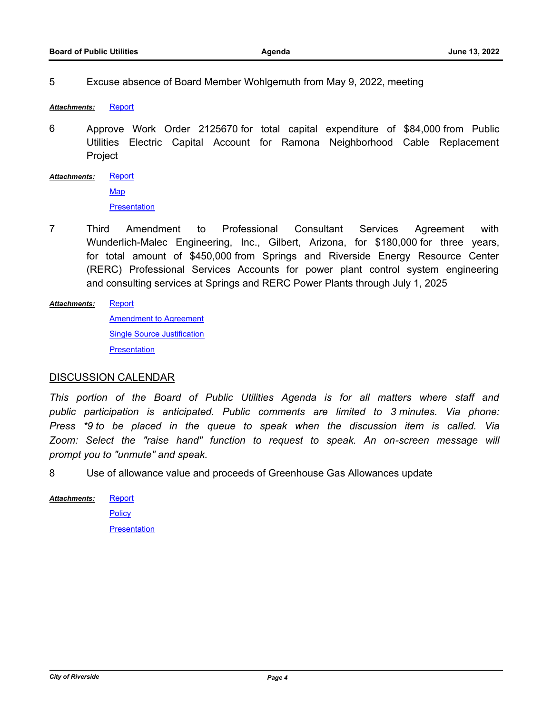5 Excuse absence of Board Member Wohlgemuth from May 9, 2022, meeting

*Attachments:* [Report](http://riversideca.legistar.com/gateway.aspx?M=F&ID=d83365f5-3952-4247-ba4e-e6f8434ea8a3.docx)

6 Approve Work Order 2125670 for total capital expenditure of \$84,000 from Public Utilities Electric Capital Account for Ramona Neighborhood Cable Replacement Project

**[Report](http://riversideca.legistar.com/gateway.aspx?M=F&ID=28138624-4592-4a42-a89b-a1c02a9534ae.docx) [Map](http://riversideca.legistar.com/gateway.aspx?M=F&ID=ebd992e2-1d0d-4fb6-b36e-2be998d69a18.pdf) [Presentation](http://riversideca.legistar.com/gateway.aspx?M=F&ID=c9855c73-2573-4bdf-bde7-1780d5339d1f.pdf)** *Attachments:*

7 Third Amendment to Professional Consultant Services Agreement with Wunderlich-Malec Engineering, Inc., Gilbert, Arizona, for \$180,000 for three years, for total amount of \$450,000 from Springs and Riverside Energy Resource Center (RERC) Professional Services Accounts for power plant control system engineering and consulting services at Springs and RERC Power Plants through July 1, 2025

[Report](http://riversideca.legistar.com/gateway.aspx?M=F&ID=4d3f8e27-5ef8-4654-a870-e93a3766c120.docx) *Attachments:*

> [Amendment to Agreement](http://riversideca.legistar.com/gateway.aspx?M=F&ID=4ba2e29c-82f3-48a8-a0a6-e324cdccc9dd.pdf) [Single Source Justification](http://riversideca.legistar.com/gateway.aspx?M=F&ID=9726e421-88ba-45bc-807a-610df3a53841.pdf) **[Presentation](http://riversideca.legistar.com/gateway.aspx?M=F&ID=7ff569c6-c759-4cd6-9713-54884f7664f1.pdf)**

#### DISCUSSION CALENDAR

*This portion of the Board of Public Utilities Agenda is for all matters where staff and public participation is anticipated. Public comments are limited to 3 minutes. Via phone: Press \*9 to be placed in the queue to speak when the discussion item is called. Via Zoom: Select the "raise hand" function to request to speak. An on-screen message will prompt you to "unmute" and speak.*

8 Use of allowance value and proceeds of Greenhouse Gas Allowances update

**[Report](http://riversideca.legistar.com/gateway.aspx?M=F&ID=c9083a2d-6fdd-484c-9494-37526205356c.docx) [Policy](http://riversideca.legistar.com/gateway.aspx?M=F&ID=124d210a-1259-49a2-b536-9cdd8bc78162.pdf) [Presentation](http://riversideca.legistar.com/gateway.aspx?M=F&ID=b799826a-7f77-44ef-a321-4b17ed14b865.pdf)** *Attachments:*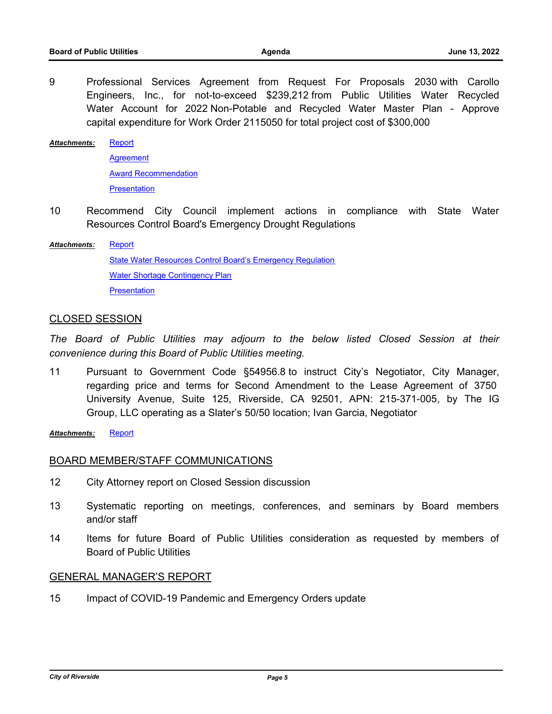9 Professional Services Agreement from Request For Proposals 2030 with Carollo Engineers, Inc., for not-to-exceed \$239,212 from Public Utilities Water Recycled Water Account for 2022 Non-Potable and Recycled Water Master Plan - Approve capital expenditure for Work Order 2115050 for total project cost of \$300,000

**[Report](http://riversideca.legistar.com/gateway.aspx?M=F&ID=135012db-a0cc-4c37-a57b-efccfb2f349f.docx) [Agreement](http://riversideca.legistar.com/gateway.aspx?M=F&ID=e7c758da-6a62-4809-a715-2c3e7f67b8be.pdf)** [Award Recommendation](http://riversideca.legistar.com/gateway.aspx?M=F&ID=5aadf1ce-02a9-42ca-8e22-1d0bf0dc1ac7.pdf) **[Presentation](http://riversideca.legistar.com/gateway.aspx?M=F&ID=538278f7-eee7-4ab2-b85f-c8a3c07c1568.pdf)** *Attachments:*

10 Recommend City Council implement actions in compliance with State Water Resources Control Board's Emergency Drought Regulations

**[Report](http://riversideca.legistar.com/gateway.aspx?M=F&ID=1b6bc360-1031-4b2d-9a26-d10fb1d5a4ac.docx)** [State Water Resources Control Board's Emergency Regulation](http://riversideca.legistar.com/gateway.aspx?M=F&ID=28cb74c8-71a4-402f-b86b-4c09ca746017.pdf) [Water Shortage Contingency Plan](http://riversideca.legistar.com/gateway.aspx?M=F&ID=8b5feae0-e715-4675-a730-736167036eb2.pdf) **[Presentation](http://riversideca.legistar.com/gateway.aspx?M=F&ID=bfda7357-5c00-44c9-af6c-a3ad367745b4.pdf)** *Attachments:*

## CLOSED SESSION

*The Board of Public Utilities may adjourn to the below listed Closed Session at their convenience during this Board of Public Utilities meeting.*

11 Pursuant to Government Code §54956.8 to instruct City's Negotiator, City Manager, regarding price and terms for Second Amendment to the Lease Agreement of 3750 University Avenue, Suite 125, Riverside, CA 92501, APN: 215-371-005, by The IG Group, LLC operating as a Slater's 50/50 location; Ivan Garcia, Negotiator

*Attachments:* [Report](http://riversideca.legistar.com/gateway.aspx?M=F&ID=598d1153-298a-40c4-926a-1d5ebcfa32f7.doc)

## BOARD MEMBER/STAFF COMMUNICATIONS

- 12 City Attorney report on Closed Session discussion
- 13 Systematic reporting on meetings, conferences, and seminars by Board members and/or staff
- 14 Items for future Board of Public Utilities consideration as requested by members of Board of Public Utilities

#### GENERAL MANAGER'S REPORT

15 Impact of COVID-19 Pandemic and Emergency Orders update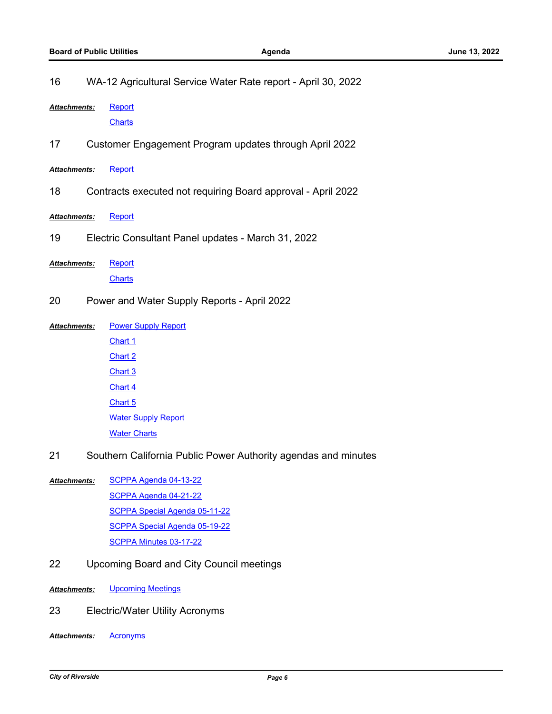| 16                  | WA-12 Agricultural Service Water Rate report - April 30, 2022 |                                                                |  |
|---------------------|---------------------------------------------------------------|----------------------------------------------------------------|--|
| Attachments:        |                                                               | Report                                                         |  |
|                     |                                                               | <b>Charts</b>                                                  |  |
| 17                  | Customer Engagement Program updates through April 2022        |                                                                |  |
| <b>Attachments:</b> |                                                               | Report                                                         |  |
| 18                  |                                                               | Contracts executed not requiring Board approval - April 2022   |  |
| Attachments:        |                                                               | Report                                                         |  |
| 19                  |                                                               | Electric Consultant Panel updates - March 31, 2022             |  |
| Attachments:        |                                                               | Report                                                         |  |
|                     |                                                               | <b>Charts</b>                                                  |  |
| 20                  |                                                               | Power and Water Supply Reports - April 2022                    |  |
| Attachments:        |                                                               | <b>Power Supply Report</b>                                     |  |
|                     |                                                               | Chart 1                                                        |  |
|                     |                                                               | Chart 2                                                        |  |
|                     |                                                               | Chart 3                                                        |  |
|                     |                                                               | Chart 4                                                        |  |
|                     |                                                               | Chart 5                                                        |  |
|                     |                                                               | <b>Water Supply Report</b>                                     |  |
|                     |                                                               | <b>Water Charts</b>                                            |  |
| 21                  |                                                               | Southern California Public Power Authority agendas and minutes |  |
| Attachments:        |                                                               | SCPPA Agenda 04-13-22                                          |  |
|                     |                                                               | SCPPA Agenda 04-21-22                                          |  |
|                     |                                                               | <b>SCPPA Special Agenda 05-11-22</b>                           |  |
|                     |                                                               | SCPPA Special Agenda 05-19-22                                  |  |
|                     |                                                               | SCPPA Minutes 03-17-22                                         |  |
| 22                  | Upcoming Board and City Council meetings                      |                                                                |  |
| Attachments:        |                                                               | <b>Upcoming Meetings</b>                                       |  |

- 23 Electric/Water Utility Acronyms
- *Attachments:* [Acronyms](http://riversideca.legistar.com/gateway.aspx?M=F&ID=8c4f33d9-308d-4216-adbd-37097ed67dcd.pdf)